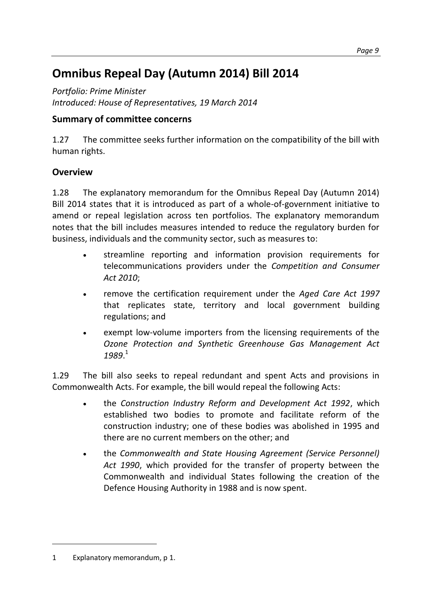# **[Omnibus Repeal Day \(Autumn 2014\) Bill 2014](http://www.aph.gov.au/Parliamentary_Business/Bills_Legislation/Bills_Search_Results/Result?bId=r5199)**

*Portfolio: Prime Minister Introduced: House of Representatives, 19 March 2014*

## **Summary of committee concerns**

1.27 The committee seeks further information on the compatibility of the bill with human rights.

### **Overview**

1.28 The explanatory memorandum for the Omnibus Repeal Day (Autumn 2014) Bill 2014 states that it is introduced as part of a whole-of-government initiative to amend or repeal legislation across ten portfolios. The explanatory memorandum notes that the bill includes measures intended to reduce the regulatory burden for business, individuals and the community sector, such as measures to:

- streamline reporting and information provision requirements for telecommunications providers under the *Competition and Consumer Act 2010*;
- remove the certification requirement under the *Aged Care Act 1997* that replicates state, territory and local government building regulations; and
- exempt low-volume importers from the licensing requirements of the *Ozone Protection and Synthetic Greenhouse Gas Management Act 1989*. 1

1.29 The bill also seeks to repeal redundant and spent Acts and provisions in Commonwealth Acts. For example, the bill would repeal the following Acts:

- the *Construction Industry Reform and Development Act 1992*, which established two bodies to promote and facilitate reform of the construction industry; one of these bodies was abolished in 1995 and there are no current members on the other; and
- the *Commonwealth and State Housing Agreement (Service Personnel) Act 1990*, which provided for the transfer of property between the Commonwealth and individual States following the creation of the Defence Housing Authority in 1988 and is now spent.

 $\overline{a}$ 

<sup>1</sup> Explanatory memorandum, p 1.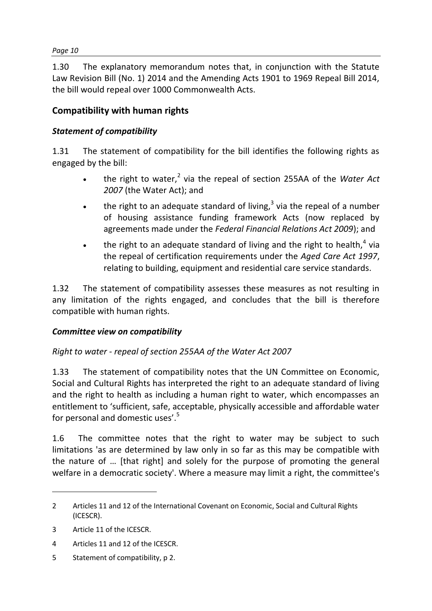#### *Page 10*

1.30 The explanatory memorandum notes that, in conjunction with the Statute Law Revision Bill (No. 1) 2014 and the Amending Acts 1901 to 1969 Repeal Bill 2014, the bill would repeal over 1000 Commonwealth Acts.

#### **Compatibility with human rights**

#### *Statement of compatibility*

1.31 The statement of compatibility for the bill identifies the following rights as engaged by the bill:

- the right to water,<sup>2</sup> via the repeal of section 255AA of the *Water Act 2007* (the Water Act); and
- the right to an adequate standard of living, $3$  via the repeal of a number of housing assistance funding framework Acts (now replaced by agreements made under the *Federal Financial Relations Act 2009*); and
- the right to an adequate standard of living and the right to health,<sup>4</sup> via the repeal of certification requirements under the *Aged Care Act 1997*, relating to building, equipment and residential care service standards.

1.32 The statement of compatibility assesses these measures as not resulting in any limitation of the rights engaged, and concludes that the bill is therefore compatible with human rights.

#### *Committee view on compatibility*

#### *Right to water - repeal of section 255AA of the Water Act 2007*

1.33 The statement of compatibility notes that the UN Committee on Economic, Social and Cultural Rights has interpreted the right to an adequate standard of living and the right to health as including a human right to water, which encompasses an entitlement to 'sufficient, safe, acceptable, physically accessible and affordable water for personal and domestic uses'.<sup>5</sup>

1.6 The committee notes that the right to water may be subject to such limitations 'as are determined by law only in so far as this may be compatible with the nature of … [that right] and solely for the purpose of promoting the general welfare in a democratic society'. Where a measure may limit a right, the committee's

 $\overline{a}$ 

5 Statement of compatibility, p 2.

<sup>2</sup> Articles 11 and 12 of the International Covenant on Economic, Social and Cultural Rights (ICESCR).

<sup>3</sup> Article 11 of the ICESCR.

<sup>4</sup> Articles 11 and 12 of the ICESCR.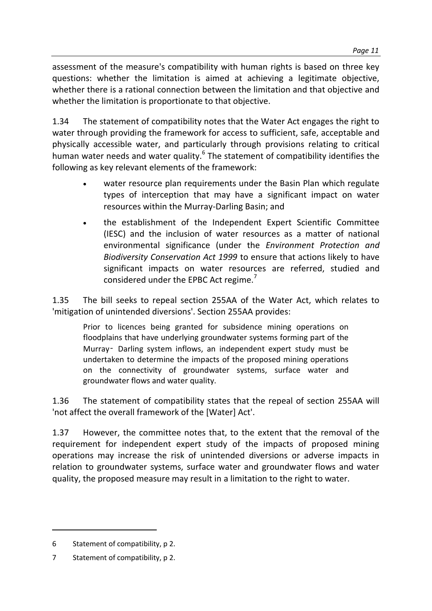assessment of the measure's compatibility with human rights is based on three key questions: whether the limitation is aimed at achieving a legitimate objective, whether there is a rational connection between the limitation and that objective and whether the limitation is proportionate to that objective.

1.34 The statement of compatibility notes that the Water Act engages the right to water through providing the framework for access to sufficient, safe, acceptable and physically accessible water, and particularly through provisions relating to critical human water needs and water quality.<sup>6</sup> The statement of compatibility identifies the following as key relevant elements of the framework:

- water resource plan requirements under the Basin Plan which regulate types of interception that may have a significant impact on water resources within the Murray-Darling Basin; and
- the establishment of the Independent Expert Scientific Committee (IESC) and the inclusion of water resources as a matter of national environmental significance (under the *Environment Protection and Biodiversity Conservation Act 1999* to ensure that actions likely to have significant impacts on water resources are referred, studied and considered under the EPBC Act regime.<sup>7</sup>

1.35 The bill seeks to repeal section 255AA of the Water Act, which relates to 'mitigation of unintended diversions'. Section 255AA provides:

Prior to licences being granted for subsidence mining operations on floodplains that have underlying groundwater systems forming part of the Murray‑ Darling system inflows, an independent expert study must be undertaken to determine the impacts of the proposed mining operations on the connectivity of groundwater systems, surface water and groundwater flows and water quality.

1.36 The statement of compatibility states that the repeal of section 255AA will 'not affect the overall framework of the [Water] Act'.

1.37 However, the committee notes that, to the extent that the removal of the requirement for independent expert study of the impacts of proposed mining operations may increase the risk of unintended diversions or adverse impacts in relation to groundwater systems, surface water and groundwater flows and water quality, the proposed measure may result in a limitation to the right to water.

 $\overline{a}$ 

<sup>6</sup> Statement of compatibility, p 2.

<sup>7</sup> Statement of compatibility, p 2.